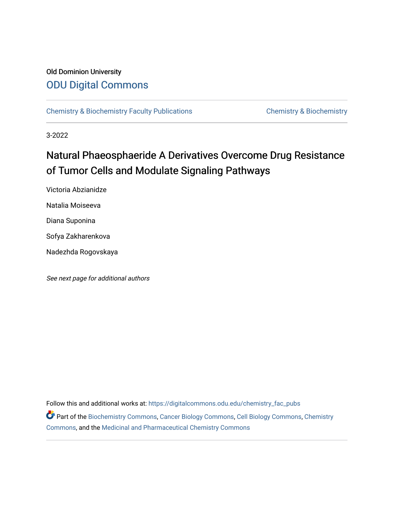# Old Dominion University [ODU Digital Commons](https://digitalcommons.odu.edu/)

[Chemistry & Biochemistry Faculty Publications](https://digitalcommons.odu.edu/chemistry_fac_pubs) **Chemistry & Biochemistry** 

3-2022

# Natural Phaeosphaeride A Derivatives Overcome Drug Resistance of Tumor Cells and Modulate Signaling Pathways

Victoria Abzianidze Natalia Moiseeva Diana Suponina Sofya Zakharenkova Nadezhda Rogovskaya

See next page for additional authors

Follow this and additional works at: [https://digitalcommons.odu.edu/chemistry\\_fac\\_pubs](https://digitalcommons.odu.edu/chemistry_fac_pubs?utm_source=digitalcommons.odu.edu%2Fchemistry_fac_pubs%2F224&utm_medium=PDF&utm_campaign=PDFCoverPages)  Part of the [Biochemistry Commons](http://network.bepress.com/hgg/discipline/2?utm_source=digitalcommons.odu.edu%2Fchemistry_fac_pubs%2F224&utm_medium=PDF&utm_campaign=PDFCoverPages), [Cancer Biology Commons,](http://network.bepress.com/hgg/discipline/12?utm_source=digitalcommons.odu.edu%2Fchemistry_fac_pubs%2F224&utm_medium=PDF&utm_campaign=PDFCoverPages) [Cell Biology Commons,](http://network.bepress.com/hgg/discipline/10?utm_source=digitalcommons.odu.edu%2Fchemistry_fac_pubs%2F224&utm_medium=PDF&utm_campaign=PDFCoverPages) [Chemistry](http://network.bepress.com/hgg/discipline/131?utm_source=digitalcommons.odu.edu%2Fchemistry_fac_pubs%2F224&utm_medium=PDF&utm_campaign=PDFCoverPages) [Commons](http://network.bepress.com/hgg/discipline/131?utm_source=digitalcommons.odu.edu%2Fchemistry_fac_pubs%2F224&utm_medium=PDF&utm_campaign=PDFCoverPages), and the [Medicinal and Pharmaceutical Chemistry Commons](http://network.bepress.com/hgg/discipline/734?utm_source=digitalcommons.odu.edu%2Fchemistry_fac_pubs%2F224&utm_medium=PDF&utm_campaign=PDFCoverPages)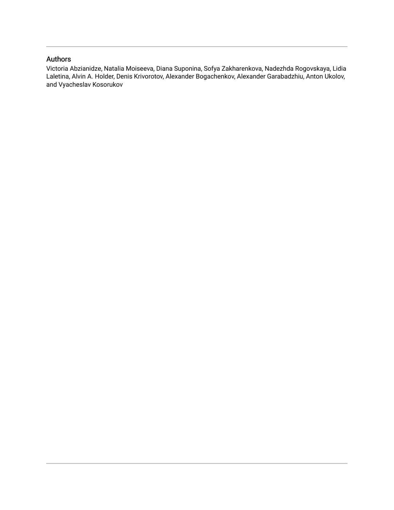## Authors

Victoria Abzianidze, Natalia Moiseeva, Diana Suponina, Sofya Zakharenkova, Nadezhda Rogovskaya, Lidia Laletina, Alvin A. Holder, Denis Krivorotov, Alexander Bogachenkov, Alexander Garabadzhiu, Anton Ukolov, and Vyacheslav Kosorukov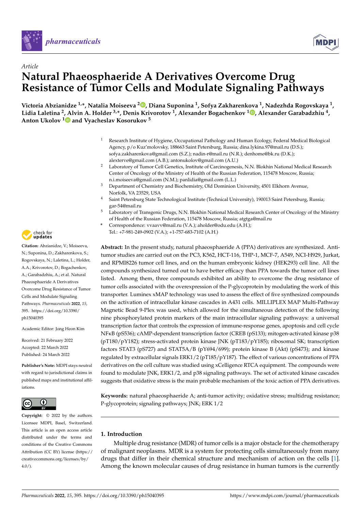



# *Article* **Natural Phaeosphaeride A Derivatives Overcome Drug Resistance of Tumor Cells and Modulate Signaling Pathways**

**Victoria Abzianidze 1,\*, Natalia Moiseeva <sup>2</sup> [,](https://orcid.org/0000-0001-6697-7154) Diana Suponina <sup>1</sup> , Sofya Zakharenkova <sup>1</sup> , Nadezhda Rogovskaya <sup>1</sup> , Lidia Laletina <sup>2</sup> , Alvin A. Holder 3,\*, Denis Krivorotov <sup>1</sup> , Alexander Bogachenkov <sup>1</sup> [,](https://orcid.org/0000-0003-0797-3457) Alexander Garabadzhiu <sup>4</sup> , Anton Ukolov [1](https://orcid.org/0000-0002-2911-1260) and Vyacheslav Kosorukov <sup>5</sup>**

- <sup>1</sup> Research Institute of Hygiene, Occupational Pathology and Human Ecology, Federal Medical Biological Agency, p/o Kuz'molovsky, 188663 Saint Petersburg, Russia; dina.lykina.97@mail.ru (D.S.); sofya.zakharenkova@gmail.com (S.Z.); nadin-r@mail.ru (N.R.); denhome@bk.ru (D.K.); alexterve@gmail.com (A.B.); antonukolov@gmail.com (A.U.)
- <sup>2</sup> Laboratory of Tumor Cell Genetics, Institute of Carcinogenesis, N.N. Blokhin National Medical Research Center of Oncology of the Ministry of Health of the Russian Federation, 115478 Moscow, Russia; n.i.moiseeva@gmail.com (N.M.); panlidia@gmail.com (L.L.)
- <sup>3</sup> Department of Chemistry and Biochemistry, Old Dominion University, 4501 Elkhorn Avenue, Norfolk, VA 23529, USA
- <sup>4</sup> Saint Petersburg State Technological Institute (Technical University), 190013 Saint Petersburg, Russia; gar-54@mail.ru
- <sup>5</sup> Laboratory of Transgenic Drugs, N.N. Blokhin National Medical Research Center of Oncology of the Ministry of Health of the Russian Federation, 115478 Moscow, Russia; atgtga@mail.ru
- **\*** Correspondence: vvaavv@mail.ru (V.A.); aholder@odu.edu (A.H.); Tel.: +7-981-249-0902 (V.A.); +1-757-683-7102 (A.H.)

**Abstract:** In the present study, natural phaeosphaeride A (PPA) derivatives are synthesized. Antitumor studies are carried out on the PC3, K562, HCT-116, THP-1, MCF-7, A549, NCI-H929, Jurkat, and RPMI8226 tumor cell lines, and on the human embryonic kidney (HEK293) cell line. All the compounds synthesized turned out to have better efficacy than PPA towards the tumor cell lines listed. Among them, three compounds exhibited an ability to overcome the drug resistance of tumor cells associated with the overexpression of the P-glycoprotein by modulating the work of this transporter. Luminex xMAP technology was used to assess the effect of five synthesized compounds on the activation of intracellular kinase cascades in A431 cells. MILLIPLEX MAP Multi-Pathway Magnetic Bead 9-Plex was used, which allowed for the simultaneous detection of the following nine phosphorylated protein markers of the main intracellular signaling pathways: a universal transcription factor that controls the expression of immune-response genes, apoptosis and cell cycle NFκB (pS536); cAMP-dependent transcription factor (CREB (pS133); mitogen-activated kinase p38 (pT180/pY182); stress-activated protein kinase JNK (pT183/pY185); ribosomal SK; transcription factors STAT3 (pS727) and STAT5A/B (pY694/699); protein kinase B (Akt) (pS473); and kinase regulated by extracellular signals ERK1/2 (pT185/pY187). The effect of various concentrations of PPA derivatives on the cell culture was studied using xCelligence RTCA equipment. The compounds were found to modulate JNK, ERK1/2, and p38 signaling pathways. The set of activated kinase cascades suggests that oxidative stress is the main probable mechanism of the toxic action of PPA derivatives.

**Keywords:** natural phaeosphaeride A; anti-tumor activity; oxidative stress; multidrug resistance; P-glycoprotein; signaling pathways; JNK; ERK 1/2

### **1. Introduction**

Multiple drug resistance (MDR) of tumor cells is a major obstacle for the chemotherapy of malignant neoplasms. MDR is a system for protecting cells simultaneously from many drugs that differ in their chemical structure and mechanism of action on the cells [\[1\]](#page-15-0). Among the known molecular causes of drug resistance in human tumors is the currently



**Citation:** Abzianidze, V.; Moiseeva, N.; Suponina, D.; Zakharenkova, S.; Rogovskaya, N.; Laletina, L.; Holder, A.A.; Krivorotov, D.; Bogachenkov, A.; Garabadzhiu, A.; et al. Natural Phaeosphaeride A Derivatives Overcome Drug Resistance of Tumor Cells and Modulate Signaling Pathways. *Pharmaceuticals* **2022**, *15*, 395. [https://doi.org/10.3390/](https://doi.org/10.3390/ph15040395) [ph15040395](https://doi.org/10.3390/ph15040395)

Academic Editor: Jong Heon Kim

Received: 21 February 2022 Accepted: 22 March 2022 Published: 24 March 2022

**Publisher's Note:** MDPI stays neutral with regard to jurisdictional claims in published maps and institutional affiliations.



**Copyright:** © 2022 by the authors. Licensee MDPI, Basel, Switzerland. This article is an open access article distributed under the terms and conditions of the Creative Commons Attribution (CC BY) license [\(https://](https://creativecommons.org/licenses/by/4.0/) [creativecommons.org/licenses/by/](https://creativecommons.org/licenses/by/4.0/)  $4.0/$ ).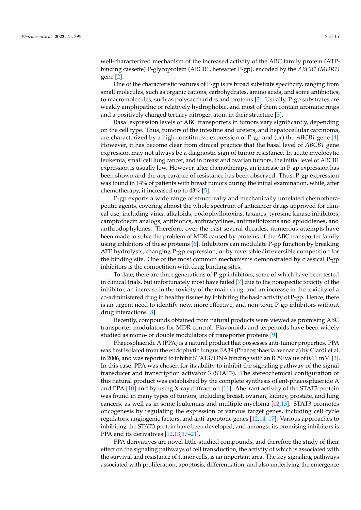well-characterized mechanism of the increased activity of the ABC family protein (ATPbinding cassette) P-glycoprotein (ABCB1, hereafter P-gp), encoded by the *ABCB1 (MDR1)* gene [\[2\]](#page-15-1).

One of the characteristic features of P-gp is its broad substrate specificity, ranging from small molecules, such as organic cations, carbohydrates, amino acids, and some antibiotics, to macromolecules, such as polysaccharides and proteins [\[3\]](#page-15-2). Usually, P-gp substrates are weakly amphipathic or relatively hydrophobic, and most of them contain aromatic rings and a positively charged tertiary nitrogen atom in their structure [\[3\]](#page-15-2).

Basal expression levels of ABC transporters in tumors vary significantly, depending on the cell type. Thus, tumors of the intestine and ureters, and hepatocellular carcinoma, are characterized by a high constitutive expression of P-gp and (or) the *ABCB1* gene [\[4\]](#page-15-3). However, it has become clear from clinical practice that the basal level of *ABCB1* gene expression may not always be a diagnostic sign of tumor resistance. In acute myelocytic leukemia, small cell lung cancer, and in breast and ovarian tumors, the initial level of ABCB1 expression is usually low. However, after chemotherapy, an increase in P-gp expression has been shown and the appearance of resistance has been observed. Thus, P-gp expression was found in 14% of patients with breast tumors during the initial examination, while, after chemotherapy, it increased up to 43% [\[5\]](#page-15-4).

P-gp exports a wide range of structurally and mechanically unrelated chemotherapeutic agents, covering almost the whole spectrum of anticancer drugs approved for clinical use, including vinca alkaloids, podophyllotoxins, taxanes, tyrosine kinase inhibitors, camptothecin analogs, antibiotics, anthracyclines, antimetlotoxins and epiodofenes, and anthrodophylenes. Therefore, over the past several decades, numerous attempts have been made to solve the problem of MDR caused by proteins of the ABC transporter family using inhibitors of these proteins [\[6\]](#page-15-5). Inhibitors can modulate P-gp function by breaking ATP hydrolysis, changing P-gp expression, or by reversible/irreversible competition for the binding site. One of the most common mechanisms demonstrated by classical P-gp inhibitors is the competition with drug binding sites.

To date, there are three generations of P-gp inhibitors, some of which have been tested in clinical trials, but unfortunately most have failed [\[7\]](#page-15-6) due to the nonspecific toxicity of the inhibitor, an increase in the toxicity of the main drug, and an increase in the toxicity of a co-administered drug in healthy tissues by inhibiting the basic activity of P-gp. Hence, there is an urgent need to identify new, more effective, and non-toxic P-gp inhibitors without drug interactions [\[8\]](#page-15-7).

Recently, compounds obtained from natural products were viewed as promising ABC transporter modulators for MDR control. Flavonoids and terpenoids have been widely studied as mono- or double modulators of transporter proteins [\[9\]](#page-15-8).

Phaeosphaeride A (PPA) is a natural product that possesses anti-tumor properties. PPA was first isolated from the endophytic fungus FA39 (Phaeosphaeria avenaria) by Clardi et al. in 2006, and was reported to inhibit STAT3/DNA binding with an IC50 value of 0.61 mM [\[3\]](#page-15-2). In this case, PPA was chosen for its ability to inhibit the signaling pathway of the signal transducer and transcription activator 3 (STAT3). The stereochemical configuration of this natural product was established by the complete synthesis of ent-phaeosphaeride A and PPA [\[10\]](#page-15-9) and by using X-ray diffraction [\[11\]](#page-15-10). Aberrant activity of the STAT3 protein was found in many types of tumors, including breast, ovarian, kidney, prostate, and lung cancers, as well as in some leukemias and multiple myeloma [\[12](#page-15-11)[,13\]](#page-15-12). STAT3 promotes oncogenesis by regulating the expression of various target genes, including cell cycle regulators, angiogenic factors, and anti-apoptotic genes [\[12](#page-15-11)[,14–](#page-15-13)[17\]](#page-15-14). Various approaches to inhibiting the STAT3 protein have been developed, and amongst its promising inhibitors is PPA and its derivatives [\[12](#page-15-11)[,13](#page-15-12)[,17–](#page-15-14)[21\]](#page-15-15).

PPA derivatives are novel little-studied compounds, and therefore the study of their effect on the signaling pathways of cell transduction, the activity of which is associated with the survival and resistance of tumor cells, is an important area. The key signaling pathways associated with proliferation, apoptosis, differentiation, and also underlying the emergence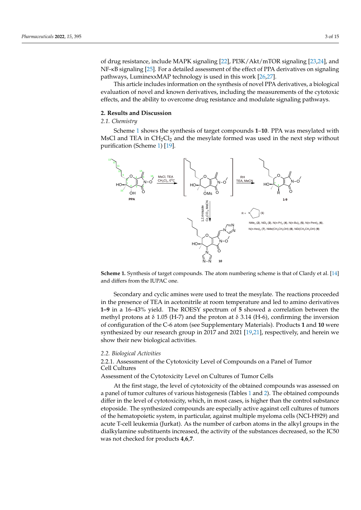of drug resistance, include MAPK signaling [\[22\]](#page-15-16), PI3K/Akt/mTOR signaling [\[23,](#page-15-17)[24\]](#page-15-18), and or and resistance, include their K signaling [22], Fisty Title, intervalged [26,21], and<br>NF-κB signaling [\[25\]](#page-15-19). For a detailed assessment of the effect of PPA derivatives on signaling The synthalog part of a detailed assessment of the effect of 1111 derivatives on signaling pathways, LuminexxMAP technology is used in this work [\[26](#page-15-20)[,27\]](#page-15-21).

This article includes information on the synthesis of novel PPA derivatives, a biological  $\frac{1}{n}$ evaluation of novel and known derivatives, including the measurements of the cytotoxic evaluation of novel and known derivatives, including the measurements of the cytotoxic effects, and the ability to overcome drug resistance and modulate signaling pathways. pathways.

## **2. Results and Discussion 2. Results and Discussion**

#### *2.1. Chemistry 2.1. Chemistry*

Scheme 1 shows the synthesis of target compounds **1**–**10**. PPA was mesylated with Sche[me](#page-4-0) 1 shows the synthesis of target compounds **1**–**10**. PPA was mesylated with MsCl and TEA in  $CH_2Cl_2$  and the mesylate formed was used in the next step without purification (Scheme 1) [19]. purification (Sche[me](#page-4-0) [1\) \[1](#page-15-22)9].

<span id="page-4-0"></span>

**Scheme 1.** Synthesis of target compounds. The atom numbering scheme is that of Clardy et al. [\[14\]](#page-15-13) and differs from the IUPAC one. and differs from the IUPAC one.

Secondary and cyclic amines were used to treat the mesylate. The reactions proceeded in the presence of TEA in acetonitrile at room temperature and led to amino derivatives **1–9** in a 16–43% yield. The ROESY spectrum of **5** showed a correlation between the methyl protons at δ 1.05 (H-7) and the proton at δ 3.14 (H-6), confirming the inversion of configuration of the C-6 atom (see supplementary materials). Products **1** and **10** were of configuration of the C-6 atom (see Supplementary Materials). Products **1** and **10** were synthesized by our research group in 2017 and 2021 [19,21], respectively, and herein we synthesized by our research group in 2017 and 2021 [\[19,](#page-15-22)[21\]](#page-15-15), respectively, and herein we show their new biological activities. show their new biological activities.

#### *2.2. Biological Activities*

*2.2. Biological Activities* 2.2.1. Assessment of the Cytotoxicity Level of Compounds on a Panel of Tumor 2.2.1. Assessment of the Cytotoxicity Level of Compounds on a Panel of Tumor Cell Cell Cultures

Assessment of the Cytotoxicity Level on Cultures of Tumor Cells

At the first stage, the level of cytotoxicity of the obtained compounds was assessed on a panel of tumor cultures of various histogenesis (Tables 1 and 2). Th[e o](#page-5-0)bta[ine](#page-5-1)d compounds differ in the level of cytotoxicity, which, in most cases, is higher than the control substance etoposide. The synthesized compounds are especially active against cell cultures of tumors of the hematopoietic system, in particular, against multiple myeloma cells (NCI-H929) and acute T-cell leukemia (Jurkat). As the number of carbon atoms in the alkyl groups in the dialkylamine substituents increased, the activity of the substances decreased, so the IC50 was not checked for products **4**,**6**,**7**.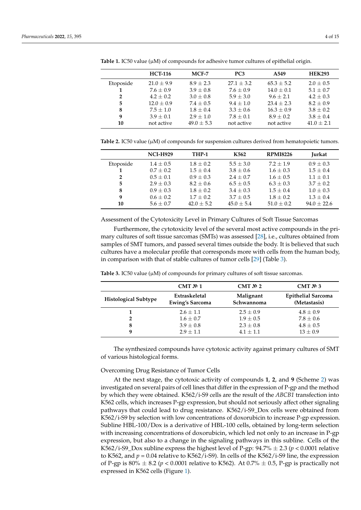|              | <b>HCT-116</b> | MCF-7         | PC <sub>3</sub> | A549           | <b>HEK293</b>  |
|--------------|----------------|---------------|-----------------|----------------|----------------|
| Etoposide    | $21.0 \pm 9.9$ | $8.9 + 2.3$   | $27.1 + 3.2$    | $65.3 \pm 5.2$ | $2.0 \pm 0.5$  |
|              | $7.6 + 0.9$    | $3.9 + 0.8$   | $7.6 + 0.9$     | $14.0 \pm 0.1$ | $5.1 + 0.7$    |
| $\mathbf{2}$ | $4.2 + 0.2$    | $3.0 \pm 0.8$ | $5.9 + 3.0$     | $9.6 + 2.1$    | $4.2 + 0.3$    |
| 5            | $12.0 \pm 0.9$ | $7.4 \pm 0.5$ | $9.4 + 1.0$     | $23.4 + 2.3$   | $8.2 + 0.9$    |
| 8            | $7.5 + 1.0$    | $1.8 + 0.4$   | $3.3 \pm 0.6$   | $16.3 \pm 0.9$ | $3.8 + 0.2$    |
| 9            | $3.9 + 0.1$    | $2.9 + 1.0$   | $7.8 + 0.1$     | $8.9 + 0.2$    | $3.8 + 0.4$    |
| 10           | not active     | $49.0 + 5.3$  | not active      | not active     | $41.0 \pm 2.1$ |

<span id="page-5-0"></span>Table 1. IC50 value ( $\mu$ M) of compounds for adhesive tumor cultures of epithelial origin.

<span id="page-5-1"></span>**Table 2.** IC50 value ( $\mu$ M) of compounds for suspension cultures derived from hematopoietic tumors.

|                | <b>NCI-H929</b> | THP-1          | K562          | <b>RPMI8226</b> | <b>Jurkat</b> |
|----------------|-----------------|----------------|---------------|-----------------|---------------|
| Etoposide      | $1.4 + 0.5$     | $1.8 + 0.2$    | $5.5 \pm 3.0$ | $7.2 + 1.9$     | $0.9 + 0.3$   |
|                | $0.7 + 0.2$     | $1.5 + 0.4$    | $3.8 \pm 0.6$ | $1.6 + 0.3$     | $1.5 + 0.4$   |
| $\overline{2}$ | $0.5 + 0.1$     | $0.9 + 0.3$    | $2.4 + 0.7$   | $1.6 + 0.5$     | $1.1 + 0.1$   |
| 5              | $2.9 + 0.3$     | $8.2 \pm 0.6$  | $6.5 \pm 0.5$ | $6.3 \pm 0.3$   | $3.7 + 0.2$   |
| 8              | $0.9 + 0.3$     | $1.8 \pm 0.2$  | $3.4 \pm 0.3$ | $1.5 + 0.4$     | $1.0 \pm 0.3$ |
| 9              | $0.6 \pm 0.2$   | $1.7 \pm 0.2$  | $3.7 \pm 0.5$ | $1.8 \pm 0.2$   | $1.3 \pm 0.4$ |
| 10             | $5.6 \pm 0.7$   | $42.0 \pm 5.2$ | $45.0 + 5.4$  | $51.0 \pm 0.2$  | $94.0 + 22.6$ |

Assessment of the Cytotoxicity Level in Primary Cultures of Soft Tissue Sarcomas

Furthermore, the cytotoxicity level of the several most active compounds in the primary cultures of soft tissue sarcomas (SMTs) was assessed [\[28\]](#page-15-23), i.e., cultures obtained from samples of SMT tumors, and passed several times outside the body. It is believed that such cultures have a molecular profile that corresponds more with cells from the human body, in comparison with that of stable cultures of tumor cells [\[29\]](#page-16-0) (Table [3\)](#page-5-2).

|                             | CMT $N2$ 1                              | CMT $N2$ 2              | CMT $\mathbb{N}^2$ 3                      |
|-----------------------------|-----------------------------------------|-------------------------|-------------------------------------------|
| <b>Histological Subtype</b> | Extraskeletal<br><b>Ewing's Sarcoma</b> | Malignant<br>Schwannoma | <b>Epithelial Sarcoma</b><br>(Metastasis) |
|                             | $2.6 \pm 1.1$                           | $2.5 \pm 0.9$           | $4.8 \pm 0.9$                             |
| າ                           | $1.6 \pm 0.7$                           | $1.9 \pm 0.5$           | $7.8 \pm 0.6$                             |
| 8                           | $3.9 \pm 0.8$                           | $2.3 \pm 0.8$           | $4.8 \pm 0.5$                             |
| q                           | $2.9 \pm 1.1$                           | $4.1 + 1.1$             | $13 \pm 0.9$                              |

<span id="page-5-2"></span>Table 3. IC50 value ( $\mu$ M) of compounds for primary cultures of soft tissue sarcomas.

The synthesized compounds have cytotoxic activity against primary cultures of SMT of various histological forms.

#### Overcoming Drug Resistance of Tumor Cells

At the next stage, the cytotoxic activity of compounds **1**, **2**, and **9** (Scheme [2\)](#page-6-0) was investigated on several pairs of cell lines that differ in the expression of P-gp and the method by which they were obtained. K562/i-S9 cells are the result of the *ABCB1* transfection into K562 cells, which increases P-gp expression, but should not seriously affect other signaling pathways that could lead to drug resistance. K562/i-S9\_Dox cells were obtained from K562/i-S9 by selection with low concentrations of doxorubicin to increase P-gp expression. Subline HBL-100/Dox is a derivative of HBL-100 cells, obtained by long-term selection with increasing concentrations of doxorubicin, which led not only to an increase in P-gp expression, but also to a change in the signaling pathways in this subline. Cells of the K562/i-S9 Dox subline express the highest level of P-gp:  $94.7\% \pm 2.3$  ( $p < 0.0001$  relative to K562, and *p* = 0.04 relative to K562/i-S9). In cells of the K562/i-S9 line, the expression of P-gp is 80%  $\pm$  8.2 ( $p < 0.0001$  relative to K562). At 0.7%  $\pm$  0.5, P-gp is practically not expressed in K562 cells (Figure [1\)](#page-6-1).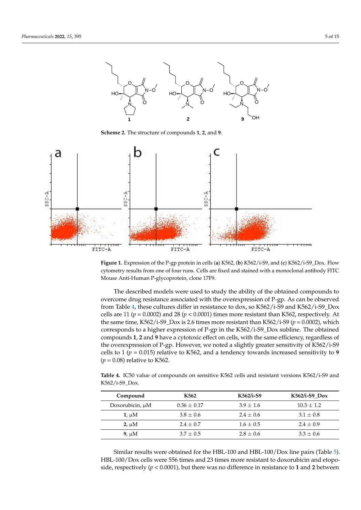

<span id="page-6-0"></span>line, the expression of P-gp is 80% ± 8.2 (*p* < 0.0001 relative to K562). At 0.7% ± 0.5, P-gp is

<span id="page-6-1"></span>**Scheme 2.** The structure of compounds 1, 2, and 9.



Figure 1. Expression of the P-gp protein in cells (a) K562, (b) K562/i-S9, and (c) K562/i-S9\_Dox. Flow cytometry results from one of four runs. Cells are fixed and stained with a monoclonal antibody FITC Mouse Anti-Human P-glycoprotein, clone 17F9.

The described models were used to study the ability of the obtained compounds to cercome drug resistance associated with the overexpression of P-cp. As can be observed from Table [4,](#page-6-2) these cultures differ in resistance to dox, so K562/i-S9 and K562/i-S9\_Dox cells are 11 ( $p = 0.0002$ ) and 28 ( $p < 0.0001$ ) times more resistant than K562, respectively. At the same time, K562/i-S9\_Dox is 2.6 times more resistant than K562/i-S9 ( $p = 0.0002$ ), which corresponds to a higher expression of P-gp in the K562/i-S9\_Dox subline. The obtained compounds 1, 2 and 9 have a cytotoxic effect on cells, with the same efficiency, regardless of the overexpression of P-gp. However, we noted a slightly greater sensitivity of K562/i-S9  $(p = 0.08)$  relative to K562. K562/i-S9\_Dox. overcome drug resistance associated with the overexpression of P-gp. As can be observed<br>from Table 4, these sultures differ in resistance to day, so KE62 (i. S0 and KE62 (i. S0 Dov cells to 1 ( $p = 0.015$ ) relative to K562, and a tendency towards increased sensitivity to 9<br>(*p* = 0.08) relative to K562 of K562/i-S9 cells to 1 (*p* = 0.015) relative to K562, and a tendency towards increased sen-

<span id="page-6-2"></span>Table 4. IC50 value of compounds on sensitive K562 cells and resistant versions K562/i-S9 and  $1-59\_DOX.$ K562/i-S9\_Dox.

| Compound             | K562            | K562/i-S9     | $K562/i-S9$ Dox |
|----------------------|-----------------|---------------|-----------------|
|                      |                 |               |                 |
| Doxorubicin, $\mu$ M | $0.36 \pm 0.17$ | $3.9 \pm 1.6$ | $10.3 + 1.2$    |
| $1, \mu M$           | $3.8 \pm 0.6$   | $2.4 \pm 0.6$ | $3.1 \pm 0.8$   |
| $2, \mu M$           | $2.4 \pm 0.7$   | $1.6 \pm 0.5$ | $2.4 + 0.9$     |
| $9. \mu M$           | $3.7 \pm 0.5$   | $2.8 \pm 0.6$ | $3.3 \pm 0.6$   |

Similar results were obtained for the HBL-100 and HBL-100/Dox line pairs (Table [5\)](#page-7-0). HBL-100/Dox cells were 556 times and 23 times more resistant to doxorubicin and etoposide, respectively  $(p < 0.0001)$ , but there was no difference in resistance to 1 and 2 between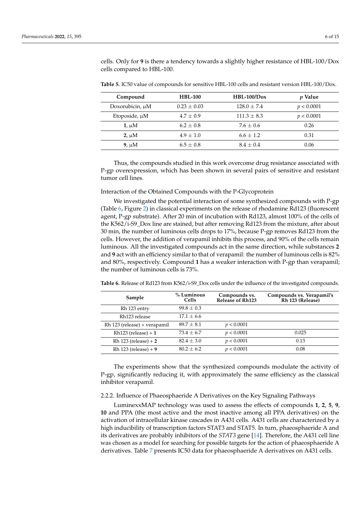cells. Only for **9** is there a tendency towards a slightly higher resistance of HBL-100/Dox cells compared to HBL-100.

| Compound             | <b>HBL-100</b>  | $HBL-100/Dox$   | <i>p</i> Value |
|----------------------|-----------------|-----------------|----------------|
| Doxorubicin, $\mu$ M | $0.23 \pm 0.03$ | $128.0 \pm 7.4$ | p < 0.0001     |
| Etoposide, $\mu$ M   | $4.7 \pm 0.9$   | $111.3 \pm 8.3$ | p < 0.0001     |
| $1, \mu M$           | $6.2 \pm 0.8$   | $7.6 \pm 0.6$   | 0.26           |
| $2. \mu M$           | $4.9 \pm 1.0$   | $6.6 \pm 1.2$   | 0.31           |
| $9. \mu M$           | $6.5 \pm 0.8$   | $8.4 \pm 0.4$   | 0.06           |

<span id="page-7-0"></span>**Table 5.** IC50 value of compounds for sensitive HBL-100 cells and resistant version HBL-100/Dox.

Thus, the compounds studied in this work overcome drug resistance associated with P-gp overexpression, which has been shown in several pairs of sensitive and resistant tumor cell lines.

#### Interaction of the Obtained Compounds with the P-Glycoprotein

We investigated the potential interaction of some synthesized compounds with P-gp (Table [6,](#page-7-1) Figure [2\)](#page-8-0) in classical experiments on the release of rhodamine Rd123 (fluorescent agent, P-gp substrate). After 20 min of incubation with Rd123, almost 100% of the cells of the K562/i-S9\_Dox line are stained, but after removing Rd123 from the mixture, after about 30 min, the number of luminous cells drops to 17%, because P-gp removes Rd123 from the cells. However, the addition of verapamil inhibits this process, and 90% of the cells remain luminous. All the investigated compounds act in the same direction, while substances **2** and **9** act with an efficiency similar to that of verapamil: the number of luminous cells is 82% and 80%, respectively. Compound **1** has a weaker interaction with P-gp than verapamil; the number of luminous cells is 73%.

| Sample                       | $%$ Luminous<br>Cells | Compounds vs.<br><b>Release of Rh123</b> | Compounds vs. Verapamil's<br>Rh 123 (Release) |
|------------------------------|-----------------------|------------------------------------------|-----------------------------------------------|
| Rh 123 entry                 | $99.8 \pm 0.3$        |                                          |                                               |
| Rh123 release                | $17.1 \pm 6.6$        |                                          |                                               |
| Rh 123 (release) + verapamil | $89.7 + 8.1$          | p < 0.0001                               |                                               |
| $Rh123$ (release) + 1        | $73.4 \pm 6.7$        | p < 0.0001                               | 0.025                                         |
| Rh $123$ (release) + 2       | $82.4 + 3.0$          | p < 0.0001                               | 0.13                                          |
| Rh 123 (release) $+9$        | $80.2 + 6.2$          | p < 0.0001                               | 0.08                                          |

<span id="page-7-1"></span>**Table 6.** Release of Rd123 from K562/i-S9\_Dox cells under the influence of the investigated compounds.

The experiments show that the synthesized compounds modulate the activity of P-gp, significantly reducing it, with approximately the same efficiency as the classical inhibitor verapamil.

#### 2.2.2. Influence of Phaeosphaeride A Derivatives on the Key Signaling Pathways

LuminexxMAP technology was used to assess the effects of compounds **1**, **2**, **5**, **9**, **10** and PPA (the most active and the most inactive among all PPA derivatives) on the activation of intracellular kinase cascades in A431 cells. A431 cells are characterized by a high inducibility of transcription factors STAT3 and STAT5. In turn, phaeosphaeride A and its derivatives are probably inhibitors of the *STAT3* gene [\[14\]](#page-15-13). Therefore, the A431 cell line was chosen as a model for searching for possible targets for the action of phaeosphaeride A derivatives. Table [7](#page-8-1) presents IC50 data for phaeosphaeride A derivatives on A431 cells.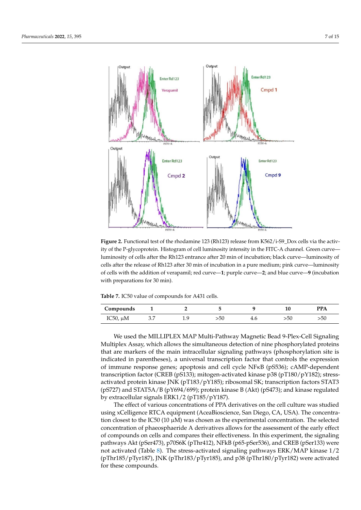<span id="page-8-0"></span>

Figure 2. Functional test of the rhodamine 123 (Rh123) release from K562/i-S9\_Dox cells via the activ $t_{\rm i}$  the P-glycoprotein. Histogram of cell luminosity intensity in the FITC-A channel. Green curve—luminosity of cells after the Rh123 entrance after 20 min of incubation; black ity of the P-glycoprotein. Histogram of cell luminosity intensity in the FITC-A channel. Green curve luminosity of cells after the Rh123 entrance after 20 min of incubation; black curve—luminosity of cells after the release of Rh123 after 30 min of incubation in a pure medium; pink curve—luminosity of cells with the addition of verapamil; red curve—1; purple curve—2; and blue curve—9 (incubation Table **From K562** from K562 from K<sub>3</sub>. with preparations for 30 min).

<span id="page-8-1"></span>**Table 7.** IC50 value of compounds for A431 cells.

| Compounds     |                 |    |     |     |     | <b>PPA</b> |
|---------------|-----------------|----|-----|-----|-----|------------|
| IC50, $\mu$ M | 27<br>$\cup$ .7 | ιu | >50 | 4.6 | >50 | >5U        |

Rh 123 (release) + verapamil 89.7 ± 8.1 *p* < 0.0001 We used the MILLIPLEX MAP Multi-Pathway Magnetic Bead 9-Plex-Cell Signaling Multiplex Assay, which allows the simultaneous detection of nine phosphorylated proteins that are markers of the main intracellular signaling pathways (phosphorylation site is of immune response genes; apoptosis and cell cycle NFKB (pS536); cAMP-dependent transcription factor (CREB (pS133); mitogen-activated kinase p38 (pT180/pY182); stressactivated protein kinase JNK (pT183/pY185); ribosomal SK; transcription factors STAT3 by extracellular signals ERK1/2 (pT185/pY187). indicated in parentheses), a universal transcription factor that controls the expression (pS727) and STAT5A/B (pY694/699); protein kinase B (Akt) (pS473); and kinase regulated

The effect of various concentrations of PPA derivatives on the cell culture was studied using xCelligence RTCA equipment (AceaBioscience, San Diego, CA, USA). The concentration closest to the IC50 (10  $\mu$ M) was chosen as the experimental concentration. The selected concentration of phaeosphaeride A derivatives allows for the assessment of the early effect of compounds on cells and compares their effectiveness. In this experiment, the signaling pathways Akt (pSer473), p70S6K (pThr412), NFkB (p65-pSer536), and CREB (pSer133) were not activated (Table [8\)](#page-9-0). The stress-activated signaling pathways ERK/MAP kinase 1/2 (pThr185/pTyr187), JNK (pThr183/pTyr185), and p38 (pThr180/pTyr182) were activated for these compounds.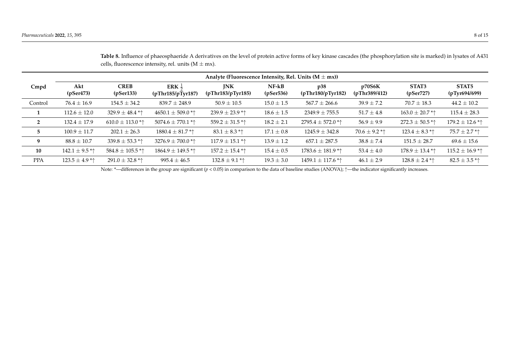|            | Analyte (Fluorescence Intensity, Rel. Units $(M \pm mx)$ ) |                               |                                        |                                 |                      |                                 |                         |                     |                        |
|------------|------------------------------------------------------------|-------------------------------|----------------------------------------|---------------------------------|----------------------|---------------------------------|-------------------------|---------------------|------------------------|
| Cmpd       | Akt<br>(pSer473)                                           | <b>CREB</b><br>(pSer133)      | ERK $\frac{1}{2}$<br>(pThr185/pTyr187) | <b>INK</b><br>(pThr183/pTyr185) | $NF-kB$<br>(pSer536) | p38<br>(pThr180/pTyr182)        | p70S6K<br>(pThr389/412) | STAT3<br>(pSer727)  | STAT5<br>(pTyr694/699) |
| Control    | $76.4 \pm 16.9$                                            | $154.5 \pm 34.2$              | $839.7 \pm 248.9$                      | $50.9 \pm 10.5$                 | $15.0 \pm 1.5$       | $567.7 \pm 266.6$               | $39.9 \pm 7.2$          | $70.7 \pm 18.3$     | $44.2 \pm 10.2$        |
| 1          | $112.6 \pm 12.0$                                           | 329.9 $\pm$ 48.4 * $\uparrow$ | 4650.1 $\pm$ 509.0 *^                  | $239.9 \pm 23.9$ *1             | $18.6 \pm 1.5$       | $2349.9 \pm 755.5$              | $51.7 \pm 4.8$          | $163.0 \pm 20.7$ *1 | $115.4 \pm 28.3$       |
| 2          | $132.4 \pm 17.9$                                           | 610.0 $\pm$ 113.0 *^          | 5074.6 $\pm$ 770.1 *^                  | 559.2 $\pm$ 31.5 * $\uparrow$   | $18.2 \pm 2.1$       | 2795.4 $\pm$ 572.0 *^           | $56.9 \pm 9.9$          | $272.3 \pm 50.5$ *1 | $179.2 \pm 12.6$ *1    |
| 5          | $100.9 \pm 11.7$                                           | $202.1 \pm 26.3$              | $1880.4 \pm 81.7$ * $\uparrow$         | $83.1 \pm 8.3$ * $\uparrow$     | $17.1 \pm 0.8$       | $1245.9 \pm 342.8$              | $70.6 \pm 9.2$ **       | 123.4 $\pm$ 8.3 **  | $75.7 \pm 2.7$ *1      |
| 9          | $88.8 \pm 10.7$                                            | 339.8 $\pm$ 53.3 * $\uparrow$ | 3276.9 $\pm$ 700.0 *^                  | 117.9 $\pm$ 15.1 * $\uparrow$   | $13.9 \pm 1.2$       | $657.1 \pm 287.5$               | $38.8 \pm 7.4$          | $151.5 \pm 28.7$    | $69.6 \pm 15.6$        |
| 10         | 142.1 $\pm$ 9.5 *1                                         | 584.8 $\pm$ 105.5 *^          | $1864.9 \pm 149.5$ *1                  | $157.2 \pm 15.4$ *1             | $15.4 \pm 0.5$       | $1783.6 \pm 181.9$ * $\uparrow$ | $53.4 \pm 4.0$          | $178.9 \pm 13.4$ *1 | $115.2 \pm 16.9$ **    |
| <b>PPA</b> | 123.5 $\pm$ 4.9 $*$                                        | $291.0 \pm 32.8$ *1           | $995.4 \pm 46.5$                       | 132.8 $\pm$ 9.1 *1              | $19.3 \pm 3.0$       | $1459.1 \pm 117.6$ * $\uparrow$ | $46.1 \pm 2.9$          | $128.8 \pm 2.4$ *1  | $82.5 \pm 3.5$ *1      |

**Table 8.** Influence of phaeosphaeride A derivatives on the level of protein active forms of key kinase cascades (the phosphorylation site is marked) in lysates of A431 cells, fluorescence intensity, rel. units  $(M \pm mx)$ .

<span id="page-9-0"></span>Note: \*—differences in the group are significant (*p* < 0.05) in comparison to the data of baseline studies (ANOVA); ↑—the indicator significantly increases.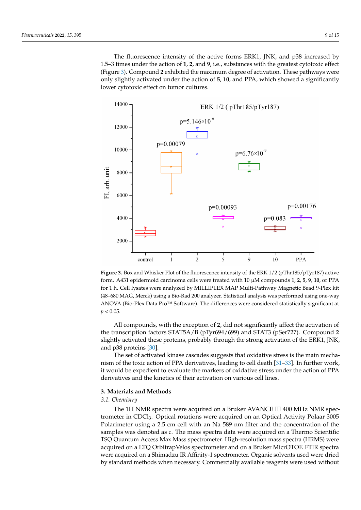The fluorescence intensity of the active forms ERK1, JNK, and p38 increased by 1.5–3 times under the action of **1**, **2**, and **9**, i.e., substances with the greatest cytotoxic effect (Figure [3\)](#page-10-0). Compound **2** exhibited the maximum degree of activation. These pathways were only slightly activated under the action of **5**, **10**, and PPA, which showed a significantly lower cytotoxic effect on tumor cultures.

<span id="page-10-0"></span>

**Figure 3.** Box and Whisker Plot of the fluorescence intensity of the ERK 1/2 (pThr185/pTyr187) active form. A431 epidermoid carcinoma cells were treated with 10 µM compounds **1**, **2**, **5**, **9**, **10**, or PPA for 1 h. Cell lysates were analyzed by MILLIPLEX MAP Multi-Pathway Magnetic Bead 9-Plex kit (48–680 MAG, Merck) using a Bio-Rad 200 analyzer. Statistical analysis was performed using one-way ANOVA (Bio-Plex Data Pro™ Software). The differences were considered statistically significant at  $p < 0.05$ .

All compounds, with the exception of **2**, did not significantly affect the activation of the transcription factors STAT5A/B (pTyr694/699) and STAT3 (pSer727). Compound **2** slightly activated these proteins, probably through the strong activation of the ERK1, JNK, and p38 proteins [\[30\]](#page-16-1).

The set of activated kinase cascades suggests that oxidative stress is the main mechanism of the toxic action of PPA derivatives, leading to cell death [\[31](#page-16-2)[–33\]](#page-16-3). In further work, it would be expedient to evaluate the markers of oxidative stress under the action of PPA derivatives and the kinetics of their activation on various cell lines.

#### **3. Materials and Methods**

#### *3.1. Chemistry*

The 1H NMR spectra were acquired on a Bruker AVANCE III 400 MHz NMR spectrometer in CDCl3. Optical rotations were acquired on an Optical Activity Polaar 3005 Polarimeter using a 2.5 cm cell with an Na 589 nm filter and the concentration of the samples was denoted as c. The mass spectra data were acquired on a Thermo Scientific TSQ Quantum Access Max Mass spectrometer. High-resolution mass spectra (HRMS) were acquired on a LTQ OrbitrapVelos spectrometer and on a Bruker MicrOTOF. FTIR spectra were acquired on a Shimadzu IR Affinity-1 spectrometer. Organic solvents used were dried by standard methods when necessary. Commercially available reagents were used without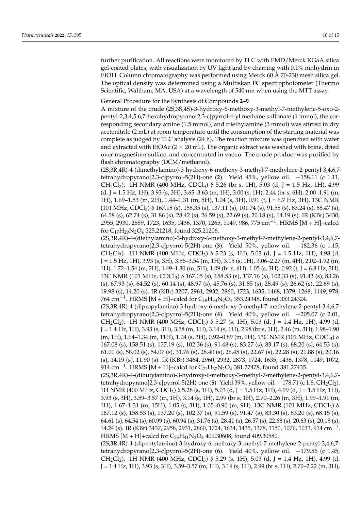further purification. All reactions were monitored by TLC with EMD/Merck KGaA silica gel-coated plates, with visualization by UV light and by charring with 0.1% ninhydrin in EtOH. Column chromatography was performed using Merck 60 Å 70-230 mesh silica gel. The optical density was determined using a Multiskan FC spectrophotometer (Thermo Scientific, Waltham, MA, USA) at a wavelength of 540 nm when using the MTT assay.

#### General Procedure for the Synthesis of Compounds **2**–**9**

A mixture of the crude (2S,3S,4S)-3-hydroxy-6-methoxy-3-methyl-7-methylene-5-oxo-2 pentyl-2,3,4,5,6,7-hexahydropyrano[2,3-c]pyrrol-4-yl methane sulfonate (1 mmol), the corresponding secondary amine (1.5 mmol), and triethylamine (3 mmol) was stirred in dry acetonitrile (2 mL) at room temperature until the consumption of the starting material was complete as judged by TLC analysis (24 h). The reaction mixture was quenched with water and extracted with EtOAc  $(2 \times 20 \text{ mL})$ . The organic extract was washed with brine, dried over magnesium sulfate, and concentrated in vacuo. The crude product was purified by flash chromatography (DCM/methanol).

(2S,3R,4R)-4-(dimethylamino)-3-hydroxy-6-methoxy-3-methyl-7-methylene-2-pentyl-3,4,6,7 tetrahydropyrano[2,3-c]pyrrol-5(2H)-one (**2**). Yield 45%, yellow oil. −158.11 (c 1.11, CH<sub>2</sub>Cl<sub>2</sub>). 1H NMR (400 MHz, CDCl<sub>3</sub>)  $\delta$  5.26 (br s, 1H), 5.03 (d, J = 1.5 Hz, 1H), 4.99  $(d, J = 1.5 Hz, 1H)$ , 3.93 (s, 3H), 3.65–3.63 (m, 1H), 3.00 (s, 1H), 2.44 (br s, 6H), 2.00–1.91 (m, 1H), 1.69–1.53 (m, 2H), 1.44–1.31 (m, 5H), 1.04 (s, 3H), 0.91 (t, J = 6.7 Hz, 3H). 13C NMR (101 MHz, CDCl3) δ 167.18 (s), 158.35 (s), 137.11 (s), 101.74 (s), 91.58 (s), 83.24 (s), 68.47 (s), 64.58 (s), 62.74 (s), 31.86 (s), 28.42 (s), 26.59 (s), 22.69 (s), 20.18 (s), 14.19 (s). IR (KBr) 3430, 2955, 2930, 2859, 1723, 1635, 1436, 1370, 1265, 1149, 986, 775 cm−<sup>1</sup> . HRMS [M + H]+calcd for  $C_{17}H_{29}N_2O_4$  325.21218, found 325.21206.

(2S,3R,4R)-4-(diethylamino)-3-hydroxy-6-methoxy-3-methyl-7-methylene-2-pentyl-3,4,6,7 tetrahydropyrano[2,3-c]pyrrol-5(2H)-one (**3**). Yield 50%, yellow oil. −182.36 (c 1.15, CH<sub>2</sub>Cl<sub>2</sub>). 1H NMR (400 MHz, CDCl<sub>3</sub>)  $\delta$  5.23 (s, 1H), 5.03 (d, J = 1.5 Hz, 1H), 4.98 (d, J = 1.5 Hz, 1H), 3.93 (s, 3H), 3.56–3.54 (m, 1H), 3.15 (s, 1H), 3.06–2.27 (m, 4H), 2.02–1.92 (m, 1H), 1.72–1.54 (m, 2H), 1.49–1.30 (m, 5H), 1.09 (br s, 6H), 1.05 (s, 3H), 0.92 (t, J = 6.8 Hz, 3H). 13C NMR (101 MHz, CDCl3) δ 167.05 (s), 158.53 (s), 137.16 (s), 102.33 (s), 91.43 (s), 83.26 (s), 67.93 (s), 64.52 (s), 60.14 (s), 48.97 (s), 45.76 (s), 31.85 (s), 28.49 (s), 26.62 (s), 22.69 (s), 19.98 (s), 14.20 (s). IR (KBr) 3207, 2961, 2932, 2860, 1723, 1635, 1468, 1379, 1268, 1149, 978, 764 cm $^{-1}$ . HRMS [M + H]+calcd for C<sub>19</sub>H<sub>33</sub>N<sub>2</sub>O<sub>4</sub> 353.24348, found 353.24324.

(2S,3R,4R)-4-(dipropylamino)-3-hydroxy-6-methoxy-3-methyl-7-methylene-2-pentyl-3,4,6,7 tetrahydropyrano[2,3-c]pyrrol-5(2H)-one (**4**). Yield 40%, yellow oil. −205.07 (c 2.01, CH<sub>2</sub>Cl<sub>2</sub>). 1H NMR (400 MHz, CDCl<sub>3</sub>)  $\delta$  5.27 (s, 1H), 5.03 (d, J = 1.4 Hz, 1H), 4.99 (d,  $J = 1.4$  Hz, 1H), 3.93 (s, 3H), 3.58 (m, 1H), 3.14 (s, 1H), 2.98 (br s, 1H), 2.46 (m, 3H), 1.98–1.90  $(m, 1H)$ , 1.64–1.34  $(m, 11H)$ , 1.04 (s, 3H), 0.92–0.89  $(m, 9H)$ . 13C NMR (101 MHz, CDCl<sub>3</sub>)  $\delta$ 167.08 (s), 158.51 (s), 137.19 (s), 102.36 (s), 91.48 (s), 83.27 (s), 83.17 (s), 68.20 (s), 64.53 (s), 61.00 (s), 58.02 (s), 54.07 (s), 31.76 (s), 28.40 (s), 26.45 (s), 22.67 (s), 22.28 (s), 21.88 (s), 20.16 (s), 14.19 (s), 11.90 (s). IR (KBr) 3464, 2960, 2932, 2873, 1724, 1635, 1436, 1378, 1149, 1072, 914 cm<sup>-1</sup>. HRMS [M + H]+calcd for  $C_{21}H_{37}N_2O_4$  381.27478, found 381.27435.

(2S,3R,4R)-4-(dibutylamino)-3-hydroxy-6-methoxy-3-methyl-7-methylene-2-pentyl-3,4,6,7 tetrahydropyrano[2,3-c]pyrrol-5(2H)-one (**5**). Yield 39%, yellow oil. −178.71 (c 1.8, CH2Cl2). 1H NMR (400 MHz, CDCl<sub>3</sub>)  $\delta$  5.28 (s, 1H), 5.03 (d, J = 1.5 Hz, 1H), 4.99 (d, J = 1.5 Hz, 1H), 3.93 (s, 3H), 3.59–3.57 (m, 1H), 3.14 (s, 1H), 2.99 (br s, 1H), 2.70–2.26 (m, 3H), 1.99–1.91 (m, 1H), 1.67–1.31 (m, 15H), 1.05 (s, 3H), 1.05–0.90 (m, 9H). 13C NMR (101 MHz, CDCl3) δ 167.12 (s), 158.53 (s), 137.20 (s), 102.37 (s), 91.59 (s), 91.47 (s), 83.30 (s), 83.20 (s), 68.15 (s), 64.61 (s), 64.54 (s), 60.99 (s), 60.94 (s), 31.76 (s), 28.41 (s), 26.57 (s), 22.68 (s), 20.63 (s), 20.18 (s), 14.24 (s). IR (KBr) 3437, 2958, 2931, 2860, 1724, 1634, 1435, 1378, 1150, 1076, 1033, 914 cm<sup>-1</sup>. HRMS [M + H]+calcd for  $C_{23}H_{41}N_2O_4$  409.30608, found 409.30580.

(2S,3R,4R)-4-(dipentylamino)-3-hydroxy-6-methoxy-3-methyl-7-methylene-2-pentyl-3,4,6,7 tetrahydropyrano[2,3-c]pyrrol-5(2H)-one (**6**). Yield 40%, yellow oil. −179.86 (c 1.45, CH<sub>2</sub>Cl<sub>2</sub>). 1H NMR (400 MHz, CDCl<sub>3</sub>)  $\delta$  5.29 (s, 1H), 5.03 (d, J = 1.4 Hz, 1H), 4.99 (d, J = 1.4 Hz, 1H), 3.93 (s, 3H), 3.59–3.57 (m, 1H), 3.14 (s, 1H), 2.99 (br s, 1H), 2.70–2.22 (m, 3H),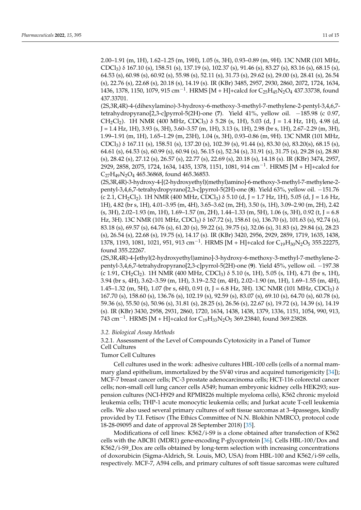2.00–1.91 (m, 1H), 1.62–1.25 (m, 19H), 1.05 (s, 3H), 0.93–0.89 (m, 9H). 13C NMR (101 MHz, CDCl3) δ 167.10 (s), 158.51 (s), 137.19 (s), 102.37 (s), 91.46 (s), 83.27 (s), 83.16 (s), 68.15 (s), 64.53 (s), 60.98 (s), 60.92 (s), 55.98 (s), 52.11 (s), 31.73 (s), 29.62 (s), 29.00 (s), 28.41 (s), 26.54 (s), 22.76 (s), 22.68 (s), 20.18 (s), 14.19 (s). IR (KBr) 3485, 2957, 2930, 2860, 2072, 1724, 1634, 1436, 1378, 1150, 1079, 915 cm $^{-1}$ . HRMS [M + H]+calcd for  $\rm{C_{25}H_{45}N_2O_4}$  437.33738, found 437.33701.

(2S,3R,4R)-4-(dihexylamino)-3-hydroxy-6-methoxy-3-methyl-7-methylene-2-pentyl-3,4,6,7 tetrahydropyrano[2,3-c]pyrrol-5(2H)-one (**7**). Yield 41%, yellow oil. −185.98 (c 0.97, CH<sub>2</sub>Cl<sub>2</sub>). 1H NMR (400 MHz, CDCl<sub>3</sub>)  $\delta$  5.28 (s, 1H), 5.03 (d, J = 1.4 Hz, 1H), 4.98 (d, J = 1.4 Hz, 1H), 3.93 (s, 3H), 3.60–3.57 (m, 1H), 3.13 (s, 1H), 2.98 (br s, 1H), 2.67–2.29 (m, 3H), 1.99–1.91 (m, 1H), 1.65–1.29 (m, 23H), 1.04 (s, 3H), 0.93–0.86 (m, 9H). 13C NMR (101 MHz, CDCl3) δ 167.11 (s), 158.51 (s), 137.20 (s), 102.39 (s), 91.44 (s), 83.30 (s), 83.20(s), 68.15 (s), 64.61 (s), 64.53 (s), 60.99 (s), 60.94 (s), 56.15 (s), 52.34 (s), 31.91 (s), 31.75 (s), 29.28 (s), 28.80 (s), 28.42 (s), 27.12 (s), 26.57 (s), 22.77 (s), 22.69 (s), 20.18 (s), 14.18 (s). IR (KBr) 3474, 2957, 2929, 2858, 2075, 1724, 1634, 1435, 1378, 1151, 1081, 914 cm−<sup>1</sup> . HRMS [M + H]+calcd for C<sub>27</sub>H<sub>49</sub>N<sub>2</sub>O<sub>4</sub> 465.36868, found 465.36853.

(2S,3R,4R)-3-hydroxy-4-[(2-hydroxyethyl)(methyl)amino]-6-methoxy-3-methyl-7-methylene-2 pentyl-3,4,6,7-tetrahydropyrano[2,3-c]pyrrol-5(2H)-one (**8**). Yield 63%, yellow oil. −151.76  $(c 2.1, CH_2Cl_2)$ . 1H NMR (400 MHz, CDCl<sub>3</sub>)  $\delta$  5.10 (d, J = 1.7 Hz, 1H), 5.05 (d, J = 1.6 Hz, 1H), 4.82 (br s, 1H), 4.01–3.95 (m, 4H), 3.65–3.62 (m, 2H), 3.50 (s, 1H), 3.09–2.90 (m, 2H), 2.42  $(s, 3H)$ , 2.02–1.93 (m, 1H), 1.69–1.57 (m, 2H), 1.44–1.33 (m, 5H), 1.06 (s, 3H), 0.92 (t, J = 6.8 Hz, 3H). 13C NMR (101 MHz, CDCl3) δ 167.72 (s), 158.61 (s), 136.70 (s), 101.63 (s), 92.74 (s), 83.18 (s), 69.57 (s), 64.76 (s), 61.20 (s), 59.22 (s), 39.75 (s), 32.06 (s), 31.83 (s), 29.84 (s), 28.23 (s), 26.54 (s), 22.68 (s), 19.75 (s), 14.17 (s). IR (KBr) 3420, 2956, 2929, 2859, 1719, 1635, 1438, 1378, 1193, 1081, 1021, 951, 913 cm<sup>-1</sup>. HRMS [M + H]+calcd for  $C_{19}H_{30}N_2O_5$  355.22275, found 355.22267.

(2S,3R,4R)-4-[ethyl(2-hydroxyethyl)amino]-3-hydroxy-6-methoxy-3-methyl-7-methylene-2 pentyl-3,4,6,7-tetrahydropyrano[2,3-c]pyrrol-5(2H)-one (**9**). Yield 45%, yellow oil. −197.38 (c 1.91, CH<sub>2</sub>Cl<sub>2</sub>). 1H NMR (400 MHz, CDCl<sub>3</sub>)  $\delta$  5.10 (s, 1H), 5.05 (s, 1H), 4.71 (br s, 1H), 3.94 (br s, 4H), 3.62–3.59 (m, 1H), 3.19–2.52 (m, 4H), 2.02–1.90 (m, 1H), 1.69–1.55 (m, 4H), 1.45–1.32 (m, 5H), 1.07 (br s, 6H), 0.91 (t, J = 6.8 Hz, 3H). 13C NMR (101 MHz, CDCl<sub>3</sub>) δ 167.70 (s), 158.60 (s), 136.76 (s), 102.19 (s), 92.59 (s), 83.07 (s), 69.10 (s), 64.70 (s), 60.78 (s), 59.36 (s), 55.50 (s), 50.96 (s), 31.81 (s), 28.25 (s), 26.56 (s), 22.67 (s), 19.72 (s), 14.39 (s), 14.19 (s). IR (KBr) 3430, 2958, 2931, 2860, 1720, 1634, 1438, 1438, 1379, 1336, 1151, 1054, 990, 913, 743 cm $^{-1}$ . HRMS [M + H]+calcd for C<sub>19</sub>H<sub>33</sub>N<sub>2</sub>O<sub>5</sub> 369.23840, found 369.23828.

#### *3.2. Biological Assay Methods*

3.2.1. Assessment of the Level of Compounds Cytotoxicity in a Panel of Tumor Cell Cultures

#### Tumor Cell Cultures

Cell cultures used in the work: adhesive cultures HBL-100 cells (cells of a normal mammary gland epithelium, immortalized by the SV40 virus and acquired tumorigenicity [\[34\]](#page-16-4)); MCF-7 breast cancer cells; PC-3 prostate adenocarcinoma cells; HCT-116 colorectal cancer cells; non-small cell lung cancer cells A549; human embryonic kidney cells HEK293; suspension cultures (NCI-H929 and RPMI8226 multiple myeloma cells), K562 chronic myeloid leukemia cells; THP-1 acute monocytic leukemia cells; and Jurkat acute T-cell leukemia cells. We also used several primary cultures of soft tissue sarcomas at 3–4passeges, kindly provided by T.I. Fetisov (The Ethics Committee of N.N. Blokhin NMRCO, protocol code 18-28-09095 and date of approval 28 September 2018) [\[35\]](#page-16-5).

Modifications of cell lines: K562/i-S9 is a clone obtained after transfection of K562 cells with the ABCB1 (MDR1) gene-encoding P-glycoprotein [\[36\]](#page-16-6). Cells HBL-100/Dox and K562/i-S9\_Dox are cells obtained by long-term selection with increasing concentrations of doxorubicin (Sigma-Aldrich, St. Louis, MO, USA) from HBL-100 and K562/i-S9 cells, respectively. MCF-7, A594 cells, and primary cultures of soft tissue sarcomas were cultured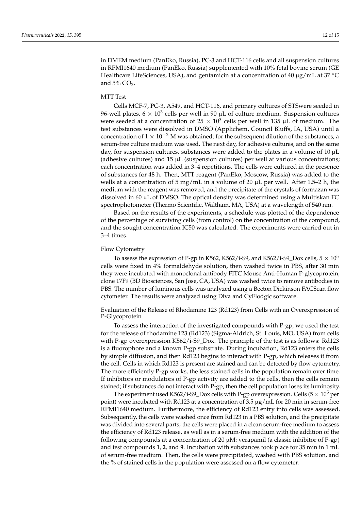in DMEM medium (PanEko, Russia), PC-3 and HCT-116 cells and all suspension cultures in RPMI1640 medium (PanEko, Russia) supplemented with 10% fetal bovine serum (GE Healthcare LifeSciences, USA), and gentamicin at a concentration of 40  $\mu$ g/mL at 37 °C and  $5\%$  CO<sub>2</sub>.

#### MTT Test

Cells MCF-7, PC-3, A549, and HCT-116, and primary cultures of STSwere seeded in 96-well plates, 6  $\times$  10<sup>3</sup> cells per well in 90 µL of culture medium. Suspension cultures were seeded at a concentration of  $25 \times 10^3$  cells per well in 135 µL of medium. The test substances were dissolved in DMSO (Applichem, Council Bluffs, IA, USA) until a concentration of  $1 \times 10^{-2}$  M was obtained; for the subsequent dilution of the substances, a serum-free culture medium was used. The next day, for adhesive cultures, and on the same day, for suspension cultures, substances were added to the plates in a volume of  $10 \mu L$ (adhesive cultures) and  $15 \mu L$  (suspension cultures) per well at various concentrations; each concentration was added in 3–4 repetitions. The cells were cultured in the presence of substances for 48 h. Then, MTT reagent (PanEko, Moscow, Russia) was added to the wells at a concentration of 5 mg/mL in a volume of 20  $\mu$ L per well. After 1.5–2 h, the medium with the reagent was removed, and the precipitate of the crystals of formazan was dissolved in 60 µL of DMSO. The optical density was determined using a Multiskan FC spectrophotometer (Thermo Scientific, Waltham, MA, USA) at a wavelength of 540 nm.

Based on the results of the experiments, a schedule was plotted of the dependence of the percentage of surviving cells (from control) on the concentration of the compound, and the sought concentration IC50 was calculated. The experiments were carried out in 3–4 times.

#### Flow Cytometry

To assess the expression of P-gp in K562, K562/i-S9, and K562/i-S9\_Dox cells,  $5 \times 10^5$ cells were fixed in 4% formaldehyde solution, then washed twice in PBS, after 30 min they were incubated with monoclonal antibody FITC Mouse Anti-Human P-glycoprotein, clone 17F9 (BD Biosciences, San Jose, CA, USA) was washed twice to remove antibodies in PBS. The number of luminous cells was analyzed using a Becton Dickinson FACScan flow cytometer. The results were analyzed using Diva and CyFlodgic software.

Evaluation of the Release of Rhodamine 123 (Rd123) from Cells with an Overexpression of P-Glycoprotein

To assess the interaction of the investigated compounds with P-gp, we used the test for the release of rhodamine 123 (Rd123) (Sigma-Aldrich, St. Louis, MO, USA) from cells with P-gp overexpression K562/i-S9\_Dox. The principle of the test is as follows: Rd123 is a fluorophore and a known P-gp substrate. During incubation, Rd123 enters the cells by simple diffusion, and then Rd123 begins to interact with P-gp, which releases it from the cell. Cells in which Rd123 is present are stained and can be detected by flow cytometry. The more efficiently P-gp works, the less stained cells in the population remain over time. If inhibitors or modulators of P-gp activity are added to the cells, then the cells remain stained; if substances do not interact with P-gp, then the cell population loses its luminosity.

The experiment used K562/i-S9\_Dox cells with P-gp overexpression. Cells ( $5 \times 10^5$  per point) were incubated with Rd123 at a concentration of 3.5  $\mu$ g/mL for 20 min in serum-free RPMI1640 medium. Furthermore, the efficiency of Rd123 entry into cells was assessed. Subsequently, the cells were washed once from Rd123 in a PBS solution, and the precipitate was divided into several parts; the cells were placed in a clean serum-free medium to assess the efficiency of Rd123 release, as well as in a serum-free medium with the addition of the following compounds at a concentration of 20 µM: verapamil (a classic inhibitor of P-gp) and test compounds **1**, **2**, and **9**. Incubation with substances took place for 35 min in 1 mL of serum-free medium. Then, the cells were precipitated, washed with PBS solution, and the % of stained cells in the population were assessed on a flow cytometer.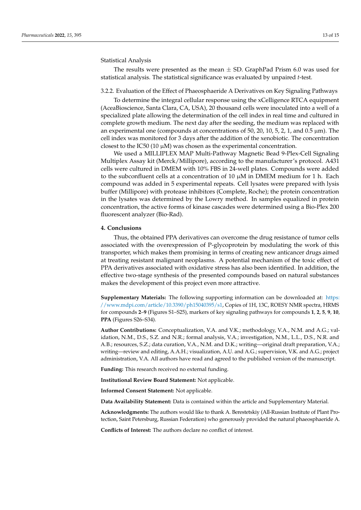Statistical Analysis

The results were presented as the mean  $\pm$  SD. GraphPad Prism 6.0 was used for statistical analysis. The statistical significance was evaluated by unpaired *t*-test.

#### 3.2.2. Evaluation of the Effect of Phaeosphaeride A Derivatives on Key Signaling Pathways

To determine the integral cellular response using the xCelligence RTCA equipment (AceaBioscience, Santa Clara, CA, USA), 20 thousand cells were inoculated into a well of a specialized plate allowing the determination of the cell index in real time and cultured in complete growth medium. The next day after the seeding, the medium was replaced with an experimental one (compounds at concentrations of 50, 20, 10, 5, 2, 1, and 0.5  $\mu$ m). The cell index was monitored for 3 days after the addition of the xenobiotic. The concentration closest to the IC50 (10  $\mu$ M) was chosen as the experimental concentration.

We used a MILLIPLEX MAP Multi-Pathway Magnetic Bead 9-Plex-Cell Signaling Multiplex Assay kit (Merck/Millipore), according to the manufacturer's protocol. A431 cells were cultured in DMEM with 10% FBS in 24-well plates. Compounds were added to the subconfluent cells at a concentration of 10  $\mu$ M in DMEM medium for 1 h. Each compound was added in 5 experimental repeats. Cell lysates were prepared with lysis buffer (Millipore) with protease inhibitors (Complete, Roche); the protein concentration in the lysates was determined by the Lowry method. In samples equalized in protein concentration, the active forms of kinase cascades were determined using a Bio-Plex 200 fluorescent analyzer (Bio-Rad).

#### **4. Conclusions**

Thus, the obtained PPA derivatives can overcome the drug resistance of tumor cells associated with the overexpression of P-glycoprotein by modulating the work of this transporter, which makes them promising in terms of creating new anticancer drugs aimed at treating resistant malignant neoplasms. A potential mechanism of the toxic effect of PPA derivatives associated with oxidative stress has also been identified. In addition, the effective two-stage synthesis of the presented compounds based on natural substances makes the development of this project even more attractive.

**Supplementary Materials:** The following supporting information can be downloaded at: [https:](https://www.mdpi.com/article/10.3390/ph15040395/s1) [//www.mdpi.com/article/10.3390/ph15040395/s1,](https://www.mdpi.com/article/10.3390/ph15040395/s1) Copies of 1H, 13C, ROESY NMR spectra, HRMS for compounds **2**–**9** (Figures S1–S25), markers of key signaling pathways for compounds **1**, **2**, **5**, **9**, **10**, **PPA** (Figures S26–S34).

**Author Contributions:** Conceptualization, V.A. and V.K.; methodology, V.A., N.M. and A.G.; validation, N.M., D.S., S.Z. and N.R.; formal analysis, V.A.; investigation, N.M., L.L., D.S., N.R. and A.B.; resources, S.Z.; data curation, V.A., N.M. and D.K.; writing—original draft preparation, V.A.; writing—review and editing, A.A.H.; visualization, A.U. and A.G.; supervision, V.K. and A.G.; project administration, V.A. All authors have read and agreed to the published version of the manuscript.

**Funding:** This research received no external funding.

**Institutional Review Board Statement:** Not applicable.

**Informed Consent Statement:** Not applicable.

**Data Availability Statement:** Data is contained within the article and Supplementary Material.

**Acknowledgments:** The authors would like to thank A. Berestetskiy (All-Russian Institute of Plant Protection, Saint Petersburg, Russian Federation) who generously provided the natural phaeosphaeride A.

**Conflicts of Interest:** The authors declare no conflict of interest.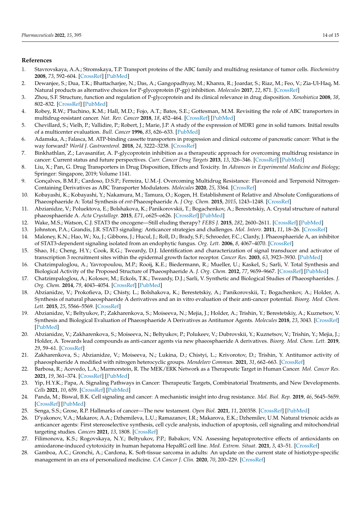#### **References**

- <span id="page-15-0"></span>1. Stavrovskaya, A.A.; Stromskaya, T.P. Transport proteins of the ABC family and multidrug resistance of tumor cells. *Biochemistry* **2008**, *73*, 592–604. [\[CrossRef\]](http://doi.org/10.1134/S0006297908050118) [\[PubMed\]](http://www.ncbi.nlm.nih.gov/pubmed/18605983)
- <span id="page-15-1"></span>2. Dewanjee, S.; Dua, T.K.; Bhattacharjee, N.; Das, A.; Gangopadhyay, M.; Khanra, R.; Joardar, S.; Riaz, M.; Feo, V.; Zia-Ul-Haq, M. Natural products as alternative choices for P-glycoprotein (P-gp) inhibition. *Molecules* **2017**, *22*, 871. [\[CrossRef\]](http://doi.org/10.3390/molecules22060871)
- <span id="page-15-2"></span>3. Zhou, S.F. Structure, function and regulation of P-glycoprotein and its clinical relevance in drug disposition. *Xenobiotica* **2008**, *38*, 802–832. [\[CrossRef\]](http://doi.org/10.1080/00498250701867889) [\[PubMed\]](http://www.ncbi.nlm.nih.gov/pubmed/18668431)
- <span id="page-15-3"></span>4. Robey, R.W.; Pluchino, K.M.; Hall, M.D.; Fojo, A.T.; Bates, S.E.; Gottesman, M.M. Revisiting the role of ABC transporters in multidrug-resistant cancer. *Nat. Rev. Cancer* **2018**, *18*, 452–464. [\[CrossRef\]](http://doi.org/10.1038/s41568-018-0005-8) [\[PubMed\]](http://www.ncbi.nlm.nih.gov/pubmed/29643473)
- <span id="page-15-4"></span>5. Chevillard, S.; Vielh, P.; Vallidire, P.; Robert, J.; Marie, J.P. A study of the expression of MDR1 gene in solid tumors. Initial results of a multicenter evaluation. *Bull. Cancer* **1996**, *83*, 626–633. [\[PubMed\]](http://www.ncbi.nlm.nih.gov/pubmed/8869042)
- <span id="page-15-5"></span>6. Adamska, A.; Falasca, M. ATP-binding cassette transporters in progression and clinical outcome of pancreatic cancer: What is the way forward? *World J. Gastroenterol.* **2018**, *24*, 3222–3238. [\[CrossRef\]](http://doi.org/10.3748/wjg.v24.i29.3222)
- <span id="page-15-6"></span>7. Binkhathlan, Z.; Lavasanifar, A. P-glycoprotein inhibition as a therapeutic approach for overcoming multidrug resistance in cancer: Current status and future perspectives. *Curr. Cancer Drug Targets* **2013**, *13*, 326–346. [\[CrossRef\]](http://doi.org/10.2174/15680096113139990076) [\[PubMed\]](http://www.ncbi.nlm.nih.gov/pubmed/23369096)
- <span id="page-15-7"></span>8. Liu, X.; Pan, G. Drug Transporters in Drug Disposition, Effects and Toxicity. In *Advances in Experimental Medicine and Biology*; Springer: Singapore, 2019; Volume 1141.
- <span id="page-15-8"></span>9. Gonçalves, B.M.F.; Cardoso, D.S.P.; Ferreira, U.M.-J. Overcoming Multidrug Resistance: Flavonoid and Terpenoid Nitrogen-Containing Derivatives as ABC Transporter Modulators. *Molecules* **2020**, *25*, 3364. [\[CrossRef\]](http://doi.org/10.3390/molecules25153364)
- <span id="page-15-9"></span>10. Kobayashi, K.; Kobayashi, Y.; Nakamura, M.; Tamura, O.; Kogen, H. Establishment of Relative and Absolute Configurations of Phaeosphaeride A: Total Synthesis of *ent*-Phaeosphaeride A. *J Org. Chem.* **2015**, *2015*, 1243–1248. [\[CrossRef\]](http://doi.org/10.1021/jo5025046)
- <span id="page-15-10"></span>11. Abzianidze, V.; Poluektova, E.; Bolshakova, K.; Panikorovskii, T.; Bogachenkov, A.; Berestetskiy, A. Crystal structure of natural phaeosphaeride A. *Acta Crystallogr.* **2015**, *E71*, o625–o626. [\[CrossRef\]](http://doi.org/10.1107/S205698901501395X) [\[PubMed\]](http://www.ncbi.nlm.nih.gov/pubmed/26396831)
- <span id="page-15-11"></span>12. Wake, M.S.; Watson, C.J. STAT3 the oncogene—Still eluding therapy? *FEBS J.* **2015**, *282*, 2600–2611. [\[CrossRef\]](http://doi.org/10.1111/febs.13285) [\[PubMed\]](http://www.ncbi.nlm.nih.gov/pubmed/25825152)
- <span id="page-15-12"></span>13. Johnston, P.A.; Grandis, J.R. STAT3 signaling: Anticancer strategies and challenges. *Mol. Interv.* **2011**, *11*, 18–26. [\[CrossRef\]](http://doi.org/10.1124/mi.11.1.4)
- <span id="page-15-13"></span>14. Maloney, K.N.; Hao, W.; Xu, J.; Gibbons, J.; Hucul, J.; Roll, D.; Brady, S.F.; Schroeder, F.C.; Clardy, J. Phaeosphaeride A, an inhibitor of STAT3-dependent signaling isolated from an endophytic fungus. *Org. Lett.* **2006**, *8*, 4067–4070. [\[CrossRef\]](http://doi.org/10.1021/ol061556f)
- 15. Shao, H.; Cheng, H.Y.; Cook, R.G.; Tweardy, D.J. Identification and characterization of signal transducer and activator of transcription 3 recruitment sites within the epidermal growth factor receptor. *Cancer Res.* **2003**, *63*, 3923–3930. [\[PubMed\]](http://www.ncbi.nlm.nih.gov/pubmed/12873986)
- 16. Chatzimpaloglou, A.; Yavropoulou, M.P.; Rooij, K.E.; Biedermann, R.; Mueller, U.; Kaskel, S.; Sarli, V. Total Synthesis and Biological Activity of the Proposed Structure of Phaeosphaeride A. *J. Org. Chem.* **2012**, *77*, 9659–9667. [\[CrossRef\]](http://doi.org/10.1021/jo301662e) [\[PubMed\]](http://www.ncbi.nlm.nih.gov/pubmed/23050677)
- <span id="page-15-14"></span>17. Chatzimpaloglou, A.; Kolosov, M.; Eckols, T.K.; Tweardy, D.J.; Sarli, V. Synthetic and Biological Studies of Phaeosphaerides. *J. Org. Chem.* **2014**, *79*, 4043–4054. [\[CrossRef\]](http://doi.org/10.1021/jo500545d) [\[PubMed\]](http://www.ncbi.nlm.nih.gov/pubmed/24735379)
- 18. Abzianidze, V.; Prokofieva, D.; Chisty, L.; Bolshakova, K.; Berestetskiy, A.; Panikorovskii, T.; Bogachenkov, A.; Holder, A. Synthesis of natural phaeosphaeride A derivatives and an in vitro evaluation of their anti-cancer potential. *Bioorg. Med. Chem. Lett.* **2015**, *25*, 5566–5569. [\[CrossRef\]](http://doi.org/10.1016/j.bmcl.2015.10.048)
- <span id="page-15-22"></span>19. Abzianidze, V.; Beltyukov, P.; Zakharenkova, S.; Moiseeva, N.; Mejia, J.; Holder, A.; Trishin, Y.; Berestetskiy, A.; Kuznetsov, V. Synthesis and Biological Evaluation of Phaeosphaeride A Derivatives as Antitumor Agents. *Molecules* **2018**, *23*, 3043. [\[CrossRef\]](http://doi.org/10.3390/molecules23113043) [\[PubMed\]](http://www.ncbi.nlm.nih.gov/pubmed/30469343)
- 20. Abzianidze, V.; Zakharenkova, S.; Moiseeva, N.; Beltyukov, P.; Polukeev, V.; Dubrovskii, Y.; Kuznetsov, V.; Trishin, Y.; Mejia, J.; Holder, A. Towards lead compounds as anti-cancer agents via new phaeosphaeride A derivatives. *Bioorg. Med. Chem. Lett.* **2019**, *29*, 59–61. [\[CrossRef\]](http://doi.org/10.1016/j.bmcl.2018.11.003)
- <span id="page-15-15"></span>21. Zakharenkova, S.; Abzianidze, V.; Moiseeva, N.; Lukina, D.; Chistyi, L.; Krivorotov, D.; Trishin, Y. Antitumor activity of phaeosphaeride A modified with nitrogen heterocyclic groups. *Mendeleev Commun.* **2021**, *31*, 662–663. [\[CrossRef\]](http://doi.org/10.1016/j.mencom.2021.09.023)
- <span id="page-15-16"></span>22. Barbosa, R.; Acevedo, L.A.; Marmorstein, R. The MEK/ERK Network as a Therapeutic Target in Human Cancer. *Mol. Cancer Res.* **2021**, *19*, 361–374. [\[CrossRef\]](http://doi.org/10.1158/1541-7786.MCR-20-0687) [\[PubMed\]](http://www.ncbi.nlm.nih.gov/pubmed/33139506)
- <span id="page-15-17"></span>23. Yip, H.Y.K.; Papa, A. Signaling Pathways in Cancer: Therapeutic Targets, Combinatorial Treatments, and New Developments. *Cells* **2021**, *10*, 659. [\[CrossRef\]](http://doi.org/10.3390/cells10030659) [\[PubMed\]](http://www.ncbi.nlm.nih.gov/pubmed/33809714)
- <span id="page-15-18"></span>24. Panda, M.; Biswal, B.K. Cell signaling and cancer: A mechanistic insight into drug resistance. *Mol. Biol. Rep.* **2019**, *46*, 5645–5659. [\[CrossRef\]](http://doi.org/10.1007/s11033-019-04958-6) [\[PubMed\]](http://www.ncbi.nlm.nih.gov/pubmed/31280421)
- <span id="page-15-19"></span>25. Senga, S.S.; Grose, R.P. Hallmarks of cancer—The new testament. *Open Biol.* **2021**, *11*, 200358. [\[CrossRef\]](http://doi.org/10.1098/rsob.200358) [\[PubMed\]](http://www.ncbi.nlm.nih.gov/pubmed/33465324)
- <span id="page-15-20"></span>26. D'yakonov, V.A.; Makarov, A.A.; Dzhemileva, L.U.; Ramazanov, I.R.; Makarova, E.K.; Dzhemilev, U.M. Natural trienoic acids as anticancer agents: First stereoselective synthesis, cell cycle analysis, induction of apoptosis, cell signaling and mitochondrial targeting studies. *Cancers* **2021**, *13*, 1808. [\[CrossRef\]](http://doi.org/10.3390/cancers13081808)
- <span id="page-15-21"></span>27. Filimonova, K.S.; Rogovskaya, N.Y.; Beltyukov, P.P.; Babakov, V.N. Assessing hepatoprotective effects of antioxidants on amiodarone-induced cytotoxicity in human hepatoma HepaRG cell line. *Med. Extrem. Situat.* **2021**, *3*, 43–51. [\[CrossRef\]](http://doi.org/10.47183/mes.2021.030)
- <span id="page-15-23"></span>28. Gamboa, A.C.; Gronchi, A.; Cardona, K. Soft-tissue sarcoma in adults: An update on the current state of histiotype-specific management in an era of personalized medicine. *CA Cancer J. Clin.* **2020**, *70*, 200–229. [\[CrossRef\]](http://doi.org/10.3322/caac.21605)